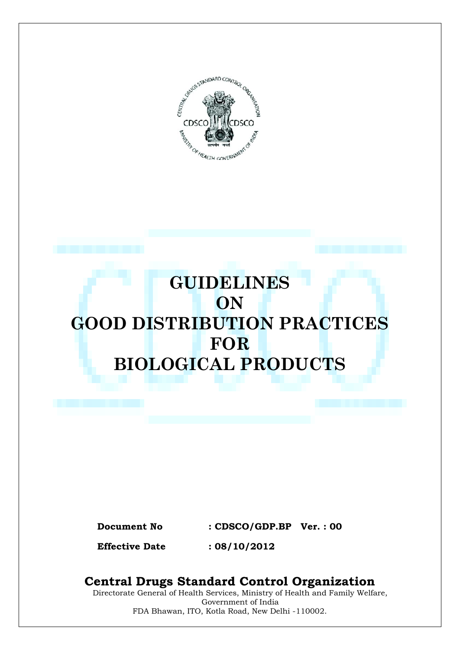

# **GUIDELINES ON GOOD DISTRIBUTION PRACTICES FOR BIOLOGICAL PRODUCTS**

**Document No : CDSCO/GDP.BP Ver. : 00**

**Effective Date : 08/10/2012**

# **Central Drugs Standard Control Organization**

Directorate General of Health Services, Ministry of Health and Family Welfare, Government of India FDA Bhawan, ITO, Kotla Road, New Delhi -110002.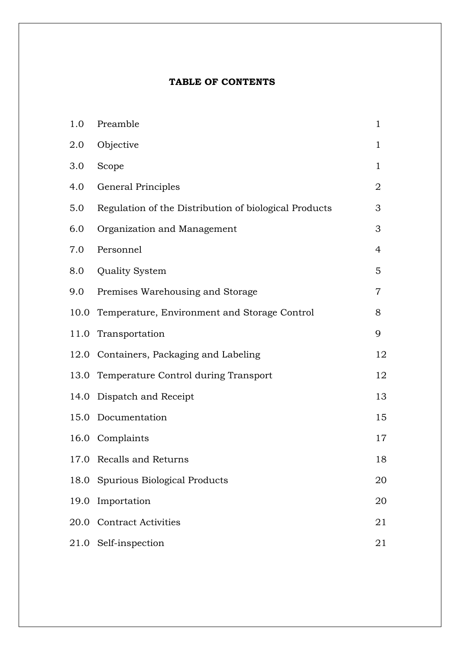# **TABLE OF CONTENTS**

| 1.0  | Preamble                                              | $\mathbf{1}$   |
|------|-------------------------------------------------------|----------------|
| 2.0  | Objective                                             | $\mathbf 1$    |
| 3.0  | Scope                                                 | $\mathbf 1$    |
| 4.0  | General Principles                                    | $\overline{2}$ |
| 5.0  | Regulation of the Distribution of biological Products | 3              |
| 6.0  | Organization and Management                           | 3              |
| 7.0  | Personnel                                             | 4              |
| 8.0  | <b>Quality System</b>                                 | 5              |
| 9.0  | Premises Warehousing and Storage                      | $\overline{7}$ |
|      | 10.0 Temperature, Environment and Storage Control     | 8              |
|      | 11.0 Transportation                                   | 9              |
|      | 12.0 Containers, Packaging and Labeling               | 12             |
|      | 13.0 Temperature Control during Transport             | 12             |
| 14.0 | Dispatch and Receipt                                  | 13             |
| 15.0 | Documentation                                         | 15             |
|      | 16.0 Complaints                                       | 17             |
|      | 17.0 Recalls and Returns                              | 18             |
|      | 18.0 Spurious Biological Products                     | 20             |
| 19.0 | Importation                                           | 20             |
| 20.0 | <b>Contract Activities</b>                            | 21             |
|      | 21.0 Self-inspection                                  | 21             |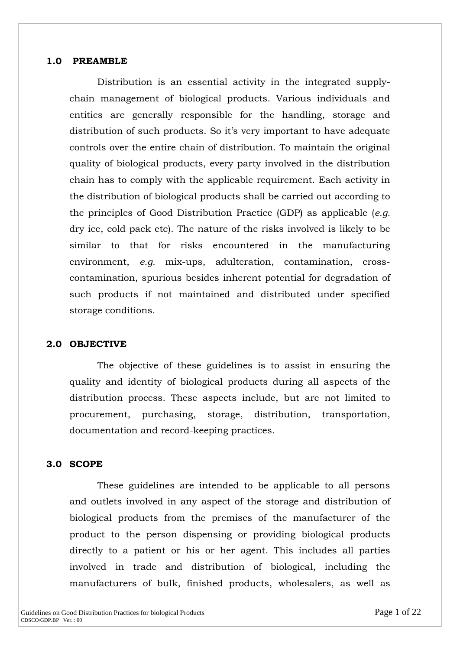#### **1.0 PREAMBLE**

Distribution is an essential activity in the integrated supplychain management of biological products. Various individuals and entities are generally responsible for the handling, storage and distribution of such products. So it's very important to have adequate controls over the entire chain of distribution. To maintain the original quality of biological products, every party involved in the distribution chain has to comply with the applicable requirement. Each activity in the distribution of biological products shall be carried out according to the principles of Good Distribution Practice (GDP) as applicable (*e.g.* dry ice, cold pack etc). The nature of the risks involved is likely to be similar to that for risks encountered in the manufacturing environment, *e.g.* mix-ups, adulteration, contamination, crosscontamination, spurious besides inherent potential for degradation of such products if not maintained and distributed under specified storage conditions.

#### **2.0 OBJECTIVE**

The objective of these guidelines is to assist in ensuring the quality and identity of biological products during all aspects of the distribution process. These aspects include, but are not limited to procurement, purchasing, storage, distribution, transportation, documentation and record-keeping practices.

#### **3.0 SCOPE**

These guidelines are intended to be applicable to all persons and outlets involved in any aspect of the storage and distribution of biological products from the premises of the manufacturer of the product to the person dispensing or providing biological products directly to a patient or his or her agent. This includes all parties involved in trade and distribution of biological, including the manufacturers of bulk, finished products, wholesalers, as well as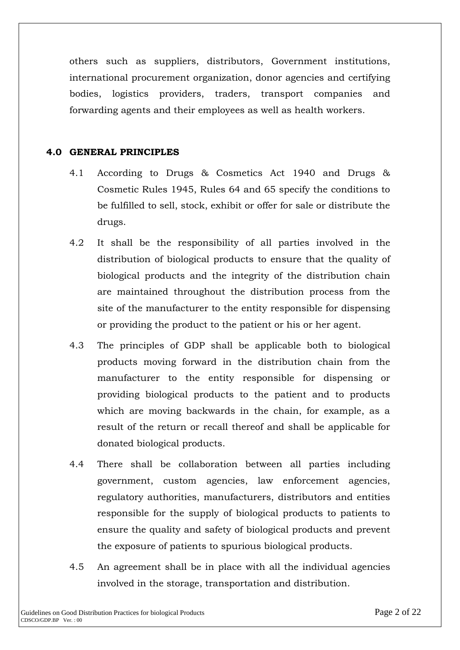others such as suppliers, distributors, Government institutions, international procurement organization, donor agencies and certifying bodies, logistics providers, traders, transport companies and forwarding agents and their employees as well as health workers.

### **4.0 GENERAL PRINCIPLES**

- 4.1 According to Drugs & Cosmetics Act 1940 and Drugs & Cosmetic Rules 1945, Rules 64 and 65 specify the conditions to be fulfilled to sell, stock, exhibit or offer for sale or distribute the drugs.
- 4.2 It shall be the responsibility of all parties involved in the distribution of biological products to ensure that the quality of biological products and the integrity of the distribution chain are maintained throughout the distribution process from the site of the manufacturer to the entity responsible for dispensing or providing the product to the patient or his or her agent.
- 4.3 The principles of GDP shall be applicable both to biological products moving forward in the distribution chain from the manufacturer to the entity responsible for dispensing or providing biological products to the patient and to products which are moving backwards in the chain, for example, as a result of the return or recall thereof and shall be applicable for donated biological products.
- 4.4 There shall be collaboration between all parties including government, custom agencies, law enforcement agencies, regulatory authorities, manufacturers, distributors and entities responsible for the supply of biological products to patients to ensure the quality and safety of biological products and prevent the exposure of patients to spurious biological products.
- 4.5 An agreement shall be in place with all the individual agencies involved in the storage, transportation and distribution.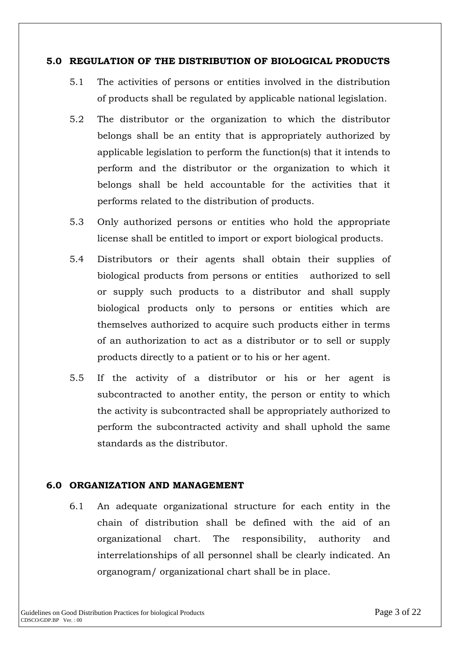#### **5.0 REGULATION OF THE DISTRIBUTION OF BIOLOGICAL PRODUCTS**

- 5.1 The activities of persons or entities involved in the distribution of products shall be regulated by applicable national legislation.
- 5.2 The distributor or the organization to which the distributor belongs shall be an entity that is appropriately authorized by applicable legislation to perform the function(s) that it intends to perform and the distributor or the organization to which it belongs shall be held accountable for the activities that it performs related to the distribution of products.
- 5.3 Only authorized persons or entities who hold the appropriate license shall be entitled to import or export biological products.
- 5.4 Distributors or their agents shall obtain their supplies of biological products from persons or entities authorized to sell or supply such products to a distributor and shall supply biological products only to persons or entities which are themselves authorized to acquire such products either in terms of an authorization to act as a distributor or to sell or supply products directly to a patient or to his or her agent.
- 5.5 If the activity of a distributor or his or her agent is subcontracted to another entity, the person or entity to which the activity is subcontracted shall be appropriately authorized to perform the subcontracted activity and shall uphold the same standards as the distributor.

### **6.0 ORGANIZATION AND MANAGEMENT**

6.1 An adequate organizational structure for each entity in the chain of distribution shall be defined with the aid of an organizational chart. The responsibility, authority and interrelationships of all personnel shall be clearly indicated. An organogram/ organizational chart shall be in place.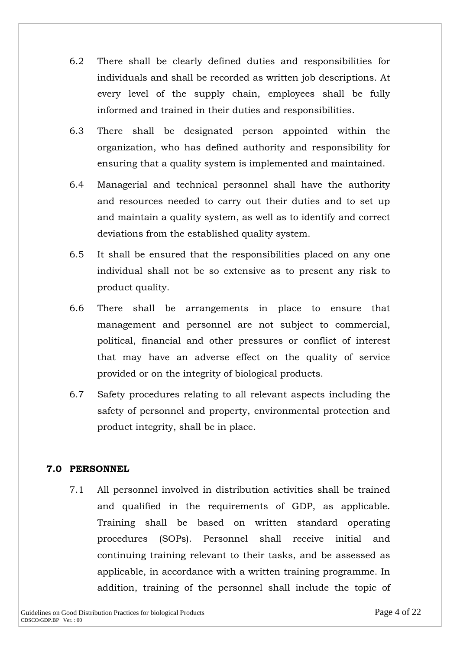- 6.2 There shall be clearly defined duties and responsibilities for individuals and shall be recorded as written job descriptions. At every level of the supply chain, employees shall be fully informed and trained in their duties and responsibilities.
- 6.3 There shall be designated person appointed within the organization, who has defined authority and responsibility for ensuring that a quality system is implemented and maintained.
- 6.4 Managerial and technical personnel shall have the authority and resources needed to carry out their duties and to set up and maintain a quality system, as well as to identify and correct deviations from the established quality system.
- 6.5 It shall be ensured that the responsibilities placed on any one individual shall not be so extensive as to present any risk to product quality.
- 6.6 There shall be arrangements in place to ensure that management and personnel are not subject to commercial, political, financial and other pressures or conflict of interest that may have an adverse effect on the quality of service provided or on the integrity of biological products.
- 6.7 Safety procedures relating to all relevant aspects including the safety of personnel and property, environmental protection and product integrity, shall be in place.

# **7.0 PERSONNEL**

7.1 All personnel involved in distribution activities shall be trained and qualified in the requirements of GDP, as applicable. Training shall be based on written standard operating procedures (SOPs). Personnel shall receive initial and continuing training relevant to their tasks, and be assessed as applicable, in accordance with a written training programme. In addition, training of the personnel shall include the topic of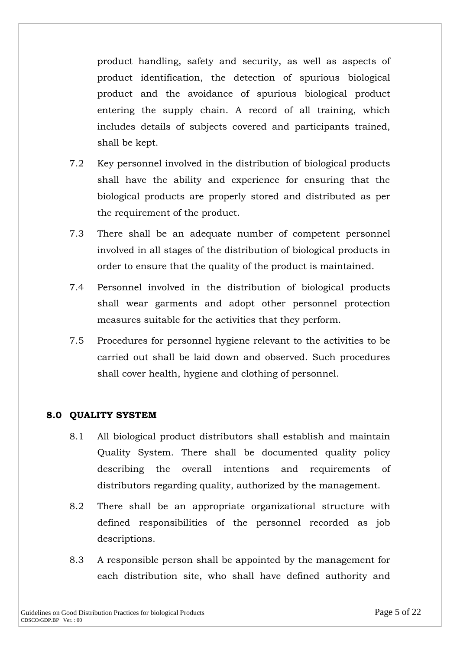product handling, safety and security, as well as aspects of product identification, the detection of spurious biological product and the avoidance of spurious biological product entering the supply chain. A record of all training, which includes details of subjects covered and participants trained, shall be kept.

- 7.2 Key personnel involved in the distribution of biological products shall have the ability and experience for ensuring that the biological products are properly stored and distributed as per the requirement of the product.
- 7.3 There shall be an adequate number of competent personnel involved in all stages of the distribution of biological products in order to ensure that the quality of the product is maintained.
- 7.4 Personnel involved in the distribution of biological products shall wear garments and adopt other personnel protection measures suitable for the activities that they perform.
- 7.5 Procedures for personnel hygiene relevant to the activities to be carried out shall be laid down and observed. Such procedures shall cover health, hygiene and clothing of personnel.

### **8.0 QUALITY SYSTEM**

- 8.1 All biological product distributors shall establish and maintain Quality System. There shall be documented quality policy describing the overall intentions and requirements of distributors regarding quality, authorized by the management.
- 8.2 There shall be an appropriate organizational structure with defined responsibilities of the personnel recorded as job descriptions.
- 8.3 A responsible person shall be appointed by the management for each distribution site, who shall have defined authority and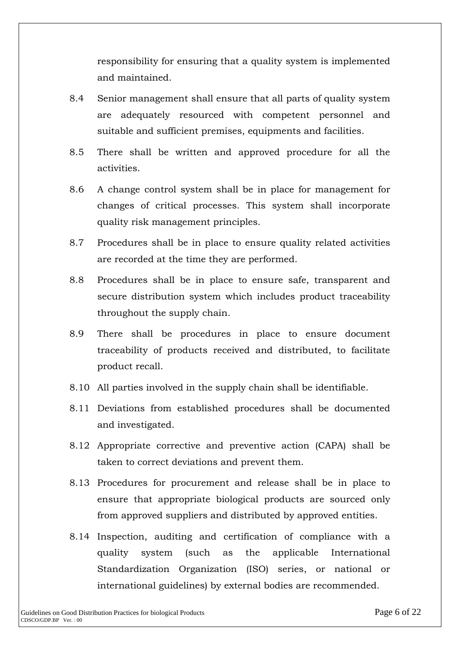responsibility for ensuring that a quality system is implemented and maintained.

- 8.4 Senior management shall ensure that all parts of quality system are adequately resourced with competent personnel and suitable and sufficient premises, equipments and facilities.
- 8.5 There shall be written and approved procedure for all the activities.
- 8.6 A change control system shall be in place for management for changes of critical processes. This system shall incorporate quality risk management principles.
- 8.7 Procedures shall be in place to ensure quality related activities are recorded at the time they are performed.
- 8.8 Procedures shall be in place to ensure safe, transparent and secure distribution system which includes product traceability throughout the supply chain.
- 8.9 There shall be procedures in place to ensure document traceability of products received and distributed, to facilitate product recall.
- 8.10 All parties involved in the supply chain shall be identifiable.
- 8.11 Deviations from established procedures shall be documented and investigated.
- 8.12 Appropriate corrective and preventive action (CAPA) shall be taken to correct deviations and prevent them.
- 8.13 Procedures for procurement and release shall be in place to ensure that appropriate biological products are sourced only from approved suppliers and distributed by approved entities.
- 8.14 Inspection, auditing and certification of compliance with a quality system (such as the applicable International Standardization Organization (ISO) series, or national or international guidelines) by external bodies are recommended.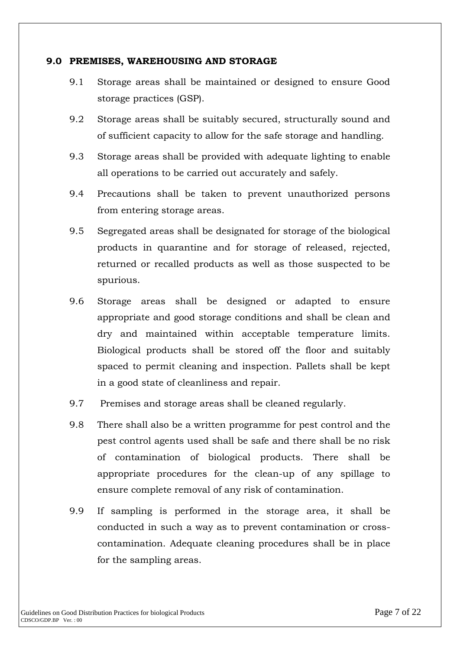#### **9.0 PREMISES, WAREHOUSING AND STORAGE**

- 9.1 Storage areas shall be maintained or designed to ensure Good storage practices (GSP).
- 9.2 Storage areas shall be suitably secured, structurally sound and of sufficient capacity to allow for the safe storage and handling.
- 9.3 Storage areas shall be provided with adequate lighting to enable all operations to be carried out accurately and safely.
- 9.4 Precautions shall be taken to prevent unauthorized persons from entering storage areas.
- 9.5 Segregated areas shall be designated for storage of the biological products in quarantine and for storage of released, rejected, returned or recalled products as well as those suspected to be spurious.
- 9.6 Storage areas shall be designed or adapted to ensure appropriate and good storage conditions and shall be clean and dry and maintained within acceptable temperature limits. Biological products shall be stored off the floor and suitably spaced to permit cleaning and inspection. Pallets shall be kept in a good state of cleanliness and repair.
- 9.7 Premises and storage areas shall be cleaned regularly.
- 9.8 There shall also be a written programme for pest control and the pest control agents used shall be safe and there shall be no risk of contamination of biological products. There shall be appropriate procedures for the clean-up of any spillage to ensure complete removal of any risk of contamination.
- 9.9 If sampling is performed in the storage area, it shall be conducted in such a way as to prevent contamination or crosscontamination. Adequate cleaning procedures shall be in place for the sampling areas.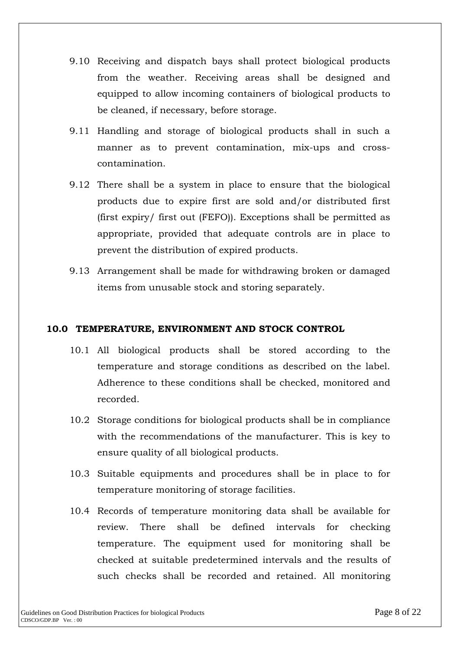- 9.10 Receiving and dispatch bays shall protect biological products from the weather. Receiving areas shall be designed and equipped to allow incoming containers of biological products to be cleaned, if necessary, before storage.
- 9.11 Handling and storage of biological products shall in such a manner as to prevent contamination, mix-ups and crosscontamination.
- 9.12 There shall be a system in place to ensure that the biological products due to expire first are sold and/or distributed first (first expiry/ first out (FEFO)). Exceptions shall be permitted as appropriate, provided that adequate controls are in place to prevent the distribution of expired products.
- 9.13 Arrangement shall be made for withdrawing broken or damaged items from unusable stock and storing separately.

# **10.0 TEMPERATURE, ENVIRONMENT AND STOCK CONTROL**

- 10.1 All biological products shall be stored according to the temperature and storage conditions as described on the label. Adherence to these conditions shall be checked, monitored and recorded.
- 10.2 Storage conditions for biological products shall be in compliance with the recommendations of the manufacturer. This is key to ensure quality of all biological products.
- 10.3 Suitable equipments and procedures shall be in place to for temperature monitoring of storage facilities.
- 10.4 Records of temperature monitoring data shall be available for review. There shall be defined intervals for checking temperature. The equipment used for monitoring shall be checked at suitable predetermined intervals and the results of such checks shall be recorded and retained. All monitoring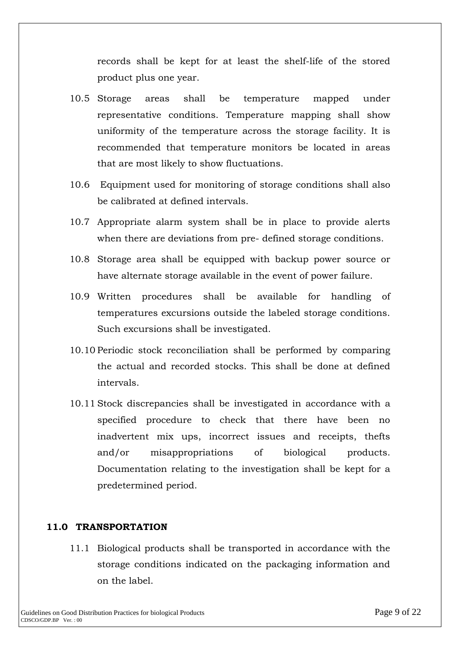records shall be kept for at least the shelf-life of the stored product plus one year.

- 10.5 Storage areas shall be temperature mapped under representative conditions. Temperature mapping shall show uniformity of the temperature across the storage facility. It is recommended that temperature monitors be located in areas that are most likely to show fluctuations.
- 10.6 Equipment used for monitoring of storage conditions shall also be calibrated at defined intervals.
- 10.7 Appropriate alarm system shall be in place to provide alerts when there are deviations from pre- defined storage conditions.
- 10.8 Storage area shall be equipped with backup power source or have alternate storage available in the event of power failure.
- 10.9 Written procedures shall be available for handling of temperatures excursions outside the labeled storage conditions. Such excursions shall be investigated.
- 10.10 Periodic stock reconciliation shall be performed by comparing the actual and recorded stocks. This shall be done at defined intervals.
- 10.11 Stock discrepancies shall be investigated in accordance with a specified procedure to check that there have been no inadvertent mix ups, incorrect issues and receipts, thefts and/or misappropriations of biological products. Documentation relating to the investigation shall be kept for a predetermined period.

### **11.0 TRANSPORTATION**

11.1 Biological products shall be transported in accordance with the storage conditions indicated on the packaging information and on the label.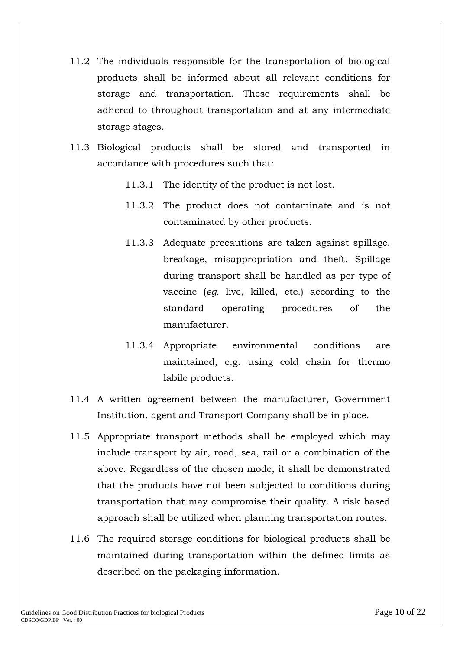- 11.2 The individuals responsible for the transportation of biological products shall be informed about all relevant conditions for storage and transportation. These requirements shall be adhered to throughout transportation and at any intermediate storage stages.
- 11.3 Biological products shall be stored and transported in accordance with procedures such that:
	- 11.3.1 The identity of the product is not lost.
	- 11.3.2 The product does not contaminate and is not contaminated by other products.
	- 11.3.3 Adequate precautions are taken against spillage, breakage, misappropriation and theft. Spillage during transport shall be handled as per type of vaccine (*eg.* live, killed, etc.) according to the standard operating procedures of the manufacturer.
	- 11.3.4 Appropriate environmental conditions are maintained, e.g. using cold chain for thermo labile products.
- 11.4 A written agreement between the manufacturer, Government Institution, agent and Transport Company shall be in place.
- 11.5 Appropriate transport methods shall be employed which may include transport by air, road, sea, rail or a combination of the above. Regardless of the chosen mode, it shall be demonstrated that the products have not been subjected to conditions during transportation that may compromise their quality. A risk based approach shall be utilized when planning transportation routes.
- 11.6 The required storage conditions for biological products shall be maintained during transportation within the defined limits as described on the packaging information.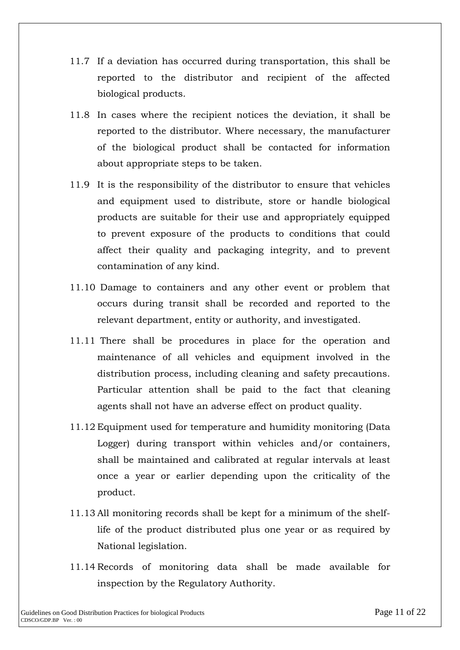- 11.7 If a deviation has occurred during transportation, this shall be reported to the distributor and recipient of the affected biological products.
- 11.8 In cases where the recipient notices the deviation, it shall be reported to the distributor. Where necessary, the manufacturer of the biological product shall be contacted for information about appropriate steps to be taken.
- 11.9 It is the responsibility of the distributor to ensure that vehicles and equipment used to distribute, store or handle biological products are suitable for their use and appropriately equipped to prevent exposure of the products to conditions that could affect their quality and packaging integrity, and to prevent contamination of any kind.
- 11.10 Damage to containers and any other event or problem that occurs during transit shall be recorded and reported to the relevant department, entity or authority, and investigated.
- 11.11 There shall be procedures in place for the operation and maintenance of all vehicles and equipment involved in the distribution process, including cleaning and safety precautions. Particular attention shall be paid to the fact that cleaning agents shall not have an adverse effect on product quality.
- 11.12 Equipment used for temperature and humidity monitoring (Data Logger) during transport within vehicles and/or containers, shall be maintained and calibrated at regular intervals at least once a year or earlier depending upon the criticality of the product.
- 11.13 All monitoring records shall be kept for a minimum of the shelflife of the product distributed plus one year or as required by National legislation.
- 11.14 Records of monitoring data shall be made available for inspection by the Regulatory Authority.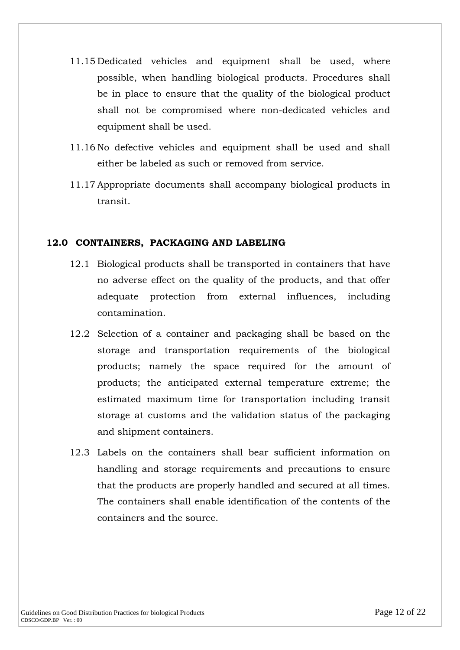- 11.15 Dedicated vehicles and equipment shall be used, where possible, when handling biological products. Procedures shall be in place to ensure that the quality of the biological product shall not be compromised where non-dedicated vehicles and equipment shall be used.
- 11.16 No defective vehicles and equipment shall be used and shall either be labeled as such or removed from service.
- 11.17 Appropriate documents shall accompany biological products in transit.

### **12.0 CONTAINERS, PACKAGING AND LABELING**

- 12.1 Biological products shall be transported in containers that have no adverse effect on the quality of the products, and that offer adequate protection from external influences, including contamination.
- 12.2 Selection of a container and packaging shall be based on the storage and transportation requirements of the biological products; namely the space required for the amount of products; the anticipated external temperature extreme; the estimated maximum time for transportation including transit storage at customs and the validation status of the packaging and shipment containers.
- 12.3 Labels on the containers shall bear sufficient information on handling and storage requirements and precautions to ensure that the products are properly handled and secured at all times. The containers shall enable identification of the contents of the containers and the source.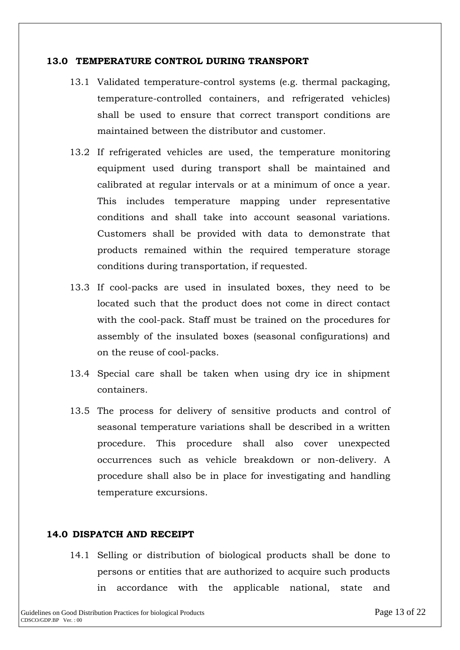#### **13.0 TEMPERATURE CONTROL DURING TRANSPORT**

- 13.1 Validated temperature-control systems (e.g. thermal packaging, temperature-controlled containers, and refrigerated vehicles) shall be used to ensure that correct transport conditions are maintained between the distributor and customer.
- 13.2 If refrigerated vehicles are used, the temperature monitoring equipment used during transport shall be maintained and calibrated at regular intervals or at a minimum of once a year. This includes temperature mapping under representative conditions and shall take into account seasonal variations. Customers shall be provided with data to demonstrate that products remained within the required temperature storage conditions during transportation, if requested.
- 13.3 If cool-packs are used in insulated boxes, they need to be located such that the product does not come in direct contact with the cool-pack. Staff must be trained on the procedures for assembly of the insulated boxes (seasonal configurations) and on the reuse of cool-packs.
- 13.4 Special care shall be taken when using dry ice in shipment containers.
- 13.5 The process for delivery of sensitive products and control of seasonal temperature variations shall be described in a written procedure. This procedure shall also cover unexpected occurrences such as vehicle breakdown or non-delivery. A procedure shall also be in place for investigating and handling temperature excursions.

### **14.0 DISPATCH AND RECEIPT**

14.1 Selling or distribution of biological products shall be done to persons or entities that are authorized to acquire such products in accordance with the applicable national, state and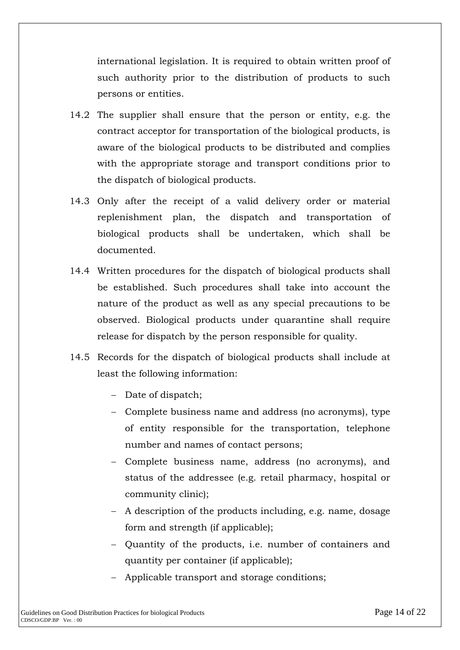international legislation. It is required to obtain written proof of such authority prior to the distribution of products to such persons or entities.

- 14.2 The supplier shall ensure that the person or entity, e.g. the contract acceptor for transportation of the biological products, is aware of the biological products to be distributed and complies with the appropriate storage and transport conditions prior to the dispatch of biological products.
- 14.3 Only after the receipt of a valid delivery order or material replenishment plan, the dispatch and transportation of biological products shall be undertaken, which shall be documented.
- 14.4 Written procedures for the dispatch of biological products shall be established. Such procedures shall take into account the nature of the product as well as any special precautions to be observed. Biological products under quarantine shall require release for dispatch by the person responsible for quality.
- 14.5 Records for the dispatch of biological products shall include at least the following information:
	- Date of dispatch;
	- Complete business name and address (no acronyms), type of entity responsible for the transportation, telephone number and names of contact persons;
	- Complete business name, address (no acronyms), and status of the addressee (e.g. retail pharmacy, hospital or community clinic);
	- A description of the products including, e.g. name, dosage form and strength (if applicable);
	- Quantity of the products, i.e. number of containers and quantity per container (if applicable);
	- Applicable transport and storage conditions;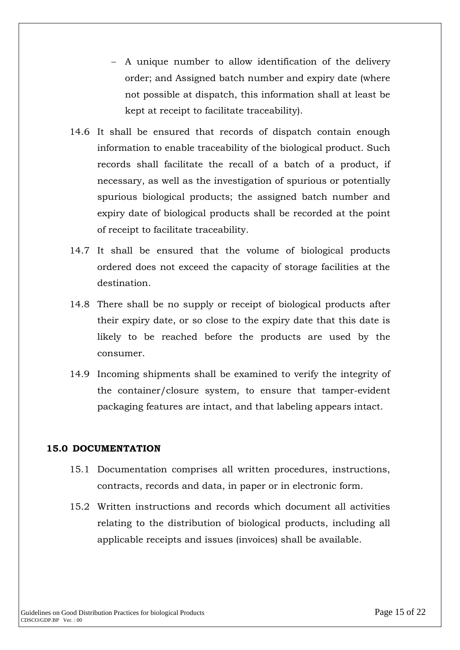- A unique number to allow identification of the delivery order; and Assigned batch number and expiry date (where not possible at dispatch, this information shall at least be kept at receipt to facilitate traceability).
- 14.6 It shall be ensured that records of dispatch contain enough information to enable traceability of the biological product. Such records shall facilitate the recall of a batch of a product, if necessary, as well as the investigation of spurious or potentially spurious biological products; the assigned batch number and expiry date of biological products shall be recorded at the point of receipt to facilitate traceability.
- 14.7 It shall be ensured that the volume of biological products ordered does not exceed the capacity of storage facilities at the destination.
- 14.8 There shall be no supply or receipt of biological products after their expiry date, or so close to the expiry date that this date is likely to be reached before the products are used by the consumer.
- 14.9 Incoming shipments shall be examined to verify the integrity of the container/closure system, to ensure that tamper-evident packaging features are intact, and that labeling appears intact.

### **15.0 DOCUMENTATION**

- 15.1 Documentation comprises all written procedures, instructions, contracts, records and data, in paper or in electronic form.
- 15.2 Written instructions and records which document all activities relating to the distribution of biological products, including all applicable receipts and issues (invoices) shall be available.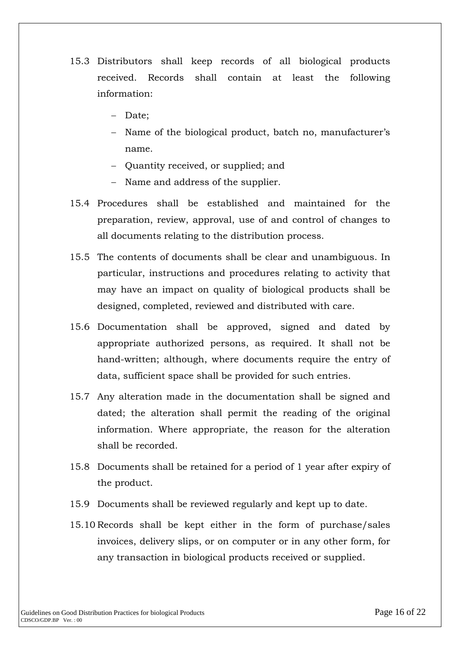- 15.3 Distributors shall keep records of all biological products received. Records shall contain at least the following information:
	- Date;
	- Name of the biological product, batch no, manufacturer's name.
	- Quantity received, or supplied; and
	- Name and address of the supplier.
- 15.4 Procedures shall be established and maintained for the preparation, review, approval, use of and control of changes to all documents relating to the distribution process.
- 15.5 The contents of documents shall be clear and unambiguous. In particular, instructions and procedures relating to activity that may have an impact on quality of biological products shall be designed, completed, reviewed and distributed with care.
- 15.6 Documentation shall be approved, signed and dated by appropriate authorized persons, as required. It shall not be hand-written; although, where documents require the entry of data, sufficient space shall be provided for such entries.
- 15.7 Any alteration made in the documentation shall be signed and dated; the alteration shall permit the reading of the original information. Where appropriate, the reason for the alteration shall be recorded.
- 15.8 Documents shall be retained for a period of 1 year after expiry of the product.
- 15.9 Documents shall be reviewed regularly and kept up to date.
- 15.10 Records shall be kept either in the form of purchase/sales invoices, delivery slips, or on computer or in any other form, for any transaction in biological products received or supplied.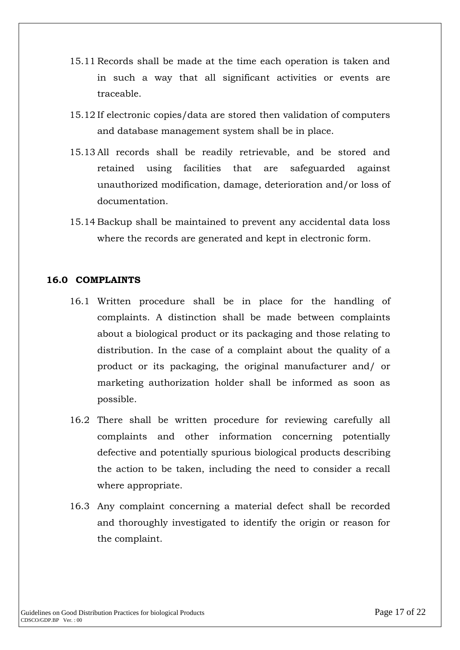- 15.11 Records shall be made at the time each operation is taken and in such a way that all significant activities or events are traceable.
- 15.12 If electronic copies/data are stored then validation of computers and database management system shall be in place.
- 15.13 All records shall be readily retrievable, and be stored and retained using facilities that are safeguarded against unauthorized modification, damage, deterioration and/or loss of documentation.
- 15.14 Backup shall be maintained to prevent any accidental data loss where the records are generated and kept in electronic form.

### **16.0 COMPLAINTS**

- 16.1 Written procedure shall be in place for the handling of complaints. A distinction shall be made between complaints about a biological product or its packaging and those relating to distribution. In the case of a complaint about the quality of a product or its packaging, the original manufacturer and/ or marketing authorization holder shall be informed as soon as possible.
- 16.2 There shall be written procedure for reviewing carefully all complaints and other information concerning potentially defective and potentially spurious biological products describing the action to be taken, including the need to consider a recall where appropriate.
- 16.3 Any complaint concerning a material defect shall be recorded and thoroughly investigated to identify the origin or reason for the complaint.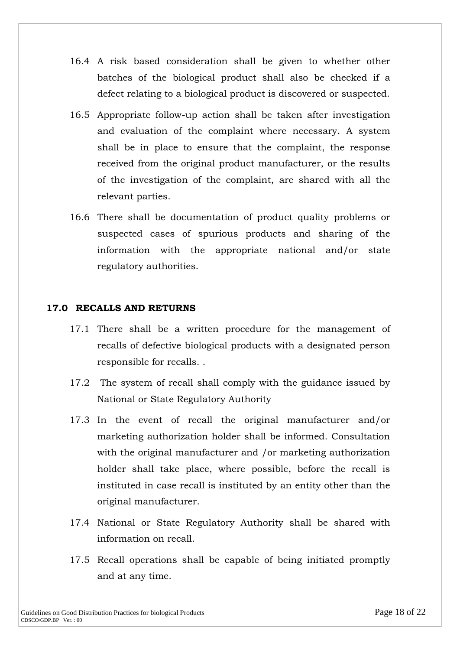- 16.4 A risk based consideration shall be given to whether other batches of the biological product shall also be checked if a defect relating to a biological product is discovered or suspected.
- 16.5 Appropriate follow-up action shall be taken after investigation and evaluation of the complaint where necessary. A system shall be in place to ensure that the complaint, the response received from the original product manufacturer, or the results of the investigation of the complaint, are shared with all the relevant parties.
- 16.6 There shall be documentation of product quality problems or suspected cases of spurious products and sharing of the information with the appropriate national and/or state regulatory authorities.

### **17.0 RECALLS AND RETURNS**

- 17.1 There shall be a written procedure for the management of recalls of defective biological products with a designated person responsible for recalls. .
- 17.2 The system of recall shall comply with the guidance issued by National or State Regulatory Authority
- 17.3 In the event of recall the original manufacturer and/or marketing authorization holder shall be informed. Consultation with the original manufacturer and /or marketing authorization holder shall take place, where possible, before the recall is instituted in case recall is instituted by an entity other than the original manufacturer.
- 17.4 National or State Regulatory Authority shall be shared with information on recall.
- 17.5 Recall operations shall be capable of being initiated promptly and at any time.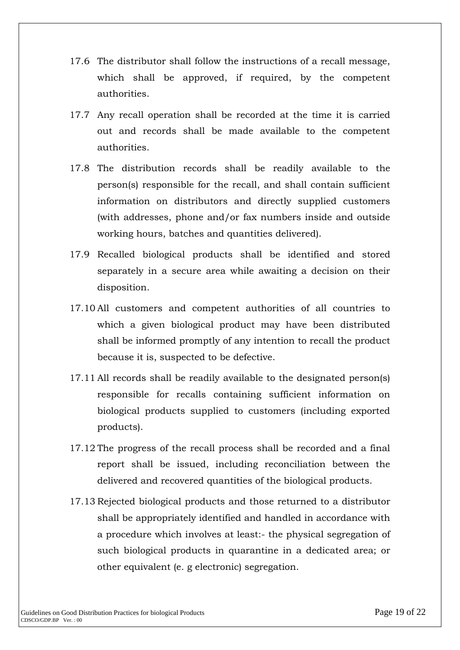- 17.6 The distributor shall follow the instructions of a recall message, which shall be approved, if required, by the competent authorities.
- 17.7 Any recall operation shall be recorded at the time it is carried out and records shall be made available to the competent authorities.
- 17.8 The distribution records shall be readily available to the person(s) responsible for the recall, and shall contain sufficient information on distributors and directly supplied customers (with addresses, phone and/or fax numbers inside and outside working hours, batches and quantities delivered).
- 17.9 Recalled biological products shall be identified and stored separately in a secure area while awaiting a decision on their disposition.
- 17.10 All customers and competent authorities of all countries to which a given biological product may have been distributed shall be informed promptly of any intention to recall the product because it is, suspected to be defective.
- 17.11 All records shall be readily available to the designated person(s) responsible for recalls containing sufficient information on biological products supplied to customers (including exported products).
- 17.12 The progress of the recall process shall be recorded and a final report shall be issued, including reconciliation between the delivered and recovered quantities of the biological products.
- 17.13 Rejected biological products and those returned to a distributor shall be appropriately identified and handled in accordance with a procedure which involves at least:- the physical segregation of such biological products in quarantine in a dedicated area; or other equivalent (e. g electronic) segregation.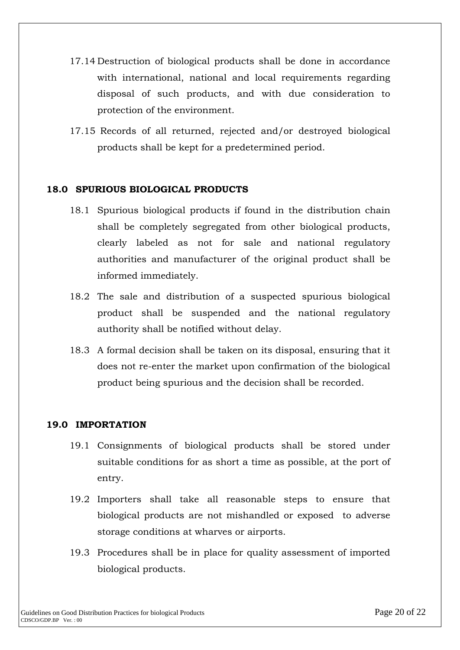- 17.14 Destruction of biological products shall be done in accordance with international, national and local requirements regarding disposal of such products, and with due consideration to protection of the environment.
- 17.15 Records of all returned, rejected and/or destroyed biological products shall be kept for a predetermined period.

# **18.0 SPURIOUS BIOLOGICAL PRODUCTS**

- 18.1 Spurious biological products if found in the distribution chain shall be completely segregated from other biological products, clearly labeled as not for sale and national regulatory authorities and manufacturer of the original product shall be informed immediately.
- 18.2 The sale and distribution of a suspected spurious biological product shall be suspended and the national regulatory authority shall be notified without delay.
- 18.3 A formal decision shall be taken on its disposal, ensuring that it does not re-enter the market upon confirmation of the biological product being spurious and the decision shall be recorded.

### **19.0 IMPORTATION**

- 19.1 Consignments of biological products shall be stored under suitable conditions for as short a time as possible, at the port of entry.
- 19.2 Importers shall take all reasonable steps to ensure that biological products are not mishandled or exposed to adverse storage conditions at wharves or airports.
- 19.3 Procedures shall be in place for quality assessment of imported biological products.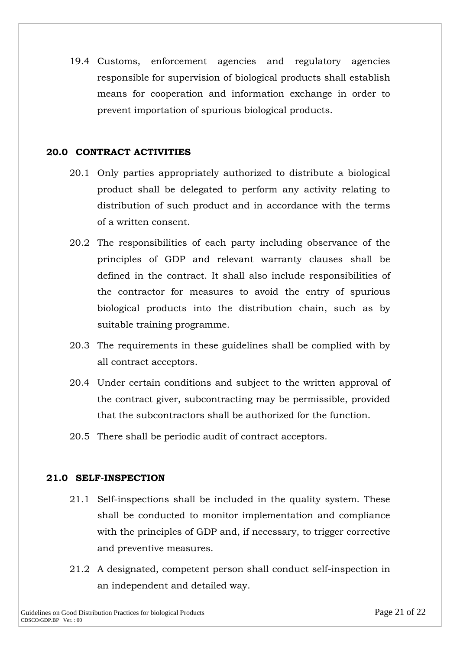19.4 Customs, enforcement agencies and regulatory agencies responsible for supervision of biological products shall establish means for cooperation and information exchange in order to prevent importation of spurious biological products.

#### **20.0 CONTRACT ACTIVITIES**

- 20.1 Only parties appropriately authorized to distribute a biological product shall be delegated to perform any activity relating to distribution of such product and in accordance with the terms of a written consent.
- 20.2 The responsibilities of each party including observance of the principles of GDP and relevant warranty clauses shall be defined in the contract. It shall also include responsibilities of the contractor for measures to avoid the entry of spurious biological products into the distribution chain, such as by suitable training programme.
- 20.3 The requirements in these guidelines shall be complied with by all contract acceptors.
- 20.4 Under certain conditions and subject to the written approval of the contract giver, subcontracting may be permissible, provided that the subcontractors shall be authorized for the function.
- 20.5 There shall be periodic audit of contract acceptors.

### **21.0 SELF-INSPECTION**

- 21.1 Self-inspections shall be included in the quality system. These shall be conducted to monitor implementation and compliance with the principles of GDP and, if necessary, to trigger corrective and preventive measures.
- 21.2 A designated, competent person shall conduct self-inspection in an independent and detailed way.